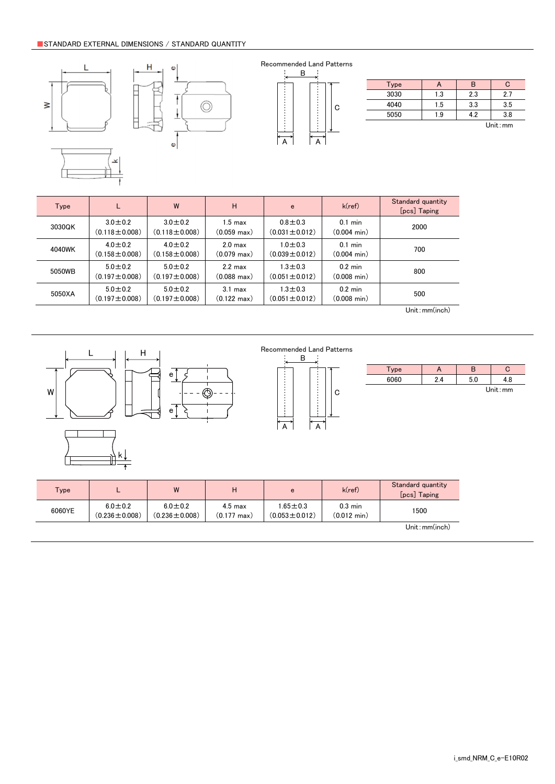# ■ Limited Application

# 1. Equipment Intended for Use

The products listed in this catalog are intended for general-purpose and standard use in general electronic equipment for consumer (e.g., AV equipment, OA equipment, home electric appliances, office equipment, information and communication equipment including, without limitation, mobile phone, and PC) and other equipment specified in this catalog or the individual product specification sheets, or the equipment approved separately by TAIYO YUDEN.

TAIYO YUDEN has the product series intended for use in the following equipment. Therefore, when using our products for these equipment, please check available applications specified in this catalog or the individual product specification sheets and use the corresponding products.

|             | <b>Product Series</b>                                                        |                                               | Quality Grade <sup>*3</sup> |  |
|-------------|------------------------------------------------------------------------------|-----------------------------------------------|-----------------------------|--|
| Application | Equipment <sup>*1</sup>                                                      | Category<br>(Part Number Code <sup>*2</sup> ) |                             |  |
| Automotive  | Automotive Electronic Equipment<br>(POWERTRAIN, SAFETY)                      | A                                             |                             |  |
|             | Automotive Electronic Equipment<br>(BODY & CHASSIS, INFOTAINMENT)            | C                                             | 2                           |  |
| Industrial  | Telecommunications Infrastructure and<br><b>Industrial Equipment</b>         | B                                             | 2                           |  |
| Medical     | Medical Devices classified as GHTF Class C<br>(Japan Class III)              | M                                             | 2                           |  |
|             | Medical Devices classified as GHTF Classes A or B<br>(Japan Classes I or II) |                                               | 3                           |  |
| Consumer    | General Electronic Equipment                                                 | S                                             | 3                           |  |

\*Notes: 1. Based on the general specifications required for electronic components for such equipment, which are recognized by TAIYO YUDEN,<br>the use of each product series for the equipment is recommended. Please be sure to

please check the explanatory materials regarding the part numbering system of each of our products.<br>3. Each product series is assigned a "Quality Grade" from 1 to 3 in order of higher quality. Please do not incorporate a p

equipment with a higher Quality Grade than the Quality Grade of such product without the prior written consent of TAIYO YUDEN.

# 2. Equipment Requiring Inquiry

Please be sure to contact TAIYO YUDEN for further information before using the products listed in this catalog for the following equipment (excluding intended equipment as specified in this catalog or the individual product specification sheets) which may cause loss of human life, bodily injury, serious property damage and/or serious public impact due to a failure or defect of the products and/or malfunction attributed thereto.

(1) Transportation equipment (automotive powertrain control system, train control system, and ship control system, etc.)

(2) Traffic signal equipment

- (3) Disaster prevention equipment, crime prevention equipment
- (4) Medical devices classified as GHTF Class C (Japan Class III)
- (5) Highly public information network equipment, data-processing equipment (telephone exchange, and base station, etc.)

(6) Any other equipment requiring high levels of quality and/or reliability equal to the equipment listed above

#### 3. Equipment Prohibited for Use

Please do not incorporate our products into the following equipment requiring extremely high levels of safety and/or reliability. (1) Aerospace equipment (artificial satellite, rocket, etc.)

(2) Aviation equipment \*1

(3) Medical devices classified as GHTF Class D (Japan Class IV), implantable medical devices  $*2$ 

- (4) Power generation control equipment (nuclear power, hydroelectric power, thermal power plant control system, etc.)
- (5) Undersea equipment (submarine repeating equipment, etc.)
- (6) Military equipment

(7) Any other equipment requiring extremely high levels of safety and/or reliability equal to the equipment listed above

- \*Notes: 1. There is a possibility that our products can be used only for aviation equipment that does not directly affect the safe operation of aircraft (e.g., in-flight entertainment, cabin light, electric seat, cooking e
	- <sup>2</sup>. Implantable medical devices contain not only internal unit which is implanted in a body, but also external unit which is connected to the internal unit.

#### 4. Limitation of Liability

Please note that unless you obtain prior written consent of TAIYO YUDEN, TAIYO YUDEN shall not be in any way responsible for any damages incurred by you or third parties arising from use of the products listed in this catalog for any equipment that is not intended for use by TAIYO YUDEN, or any equipment requiring inquiry to TAIYO YUDEN or prohibited for use by TAIYO YUDEN as described above.